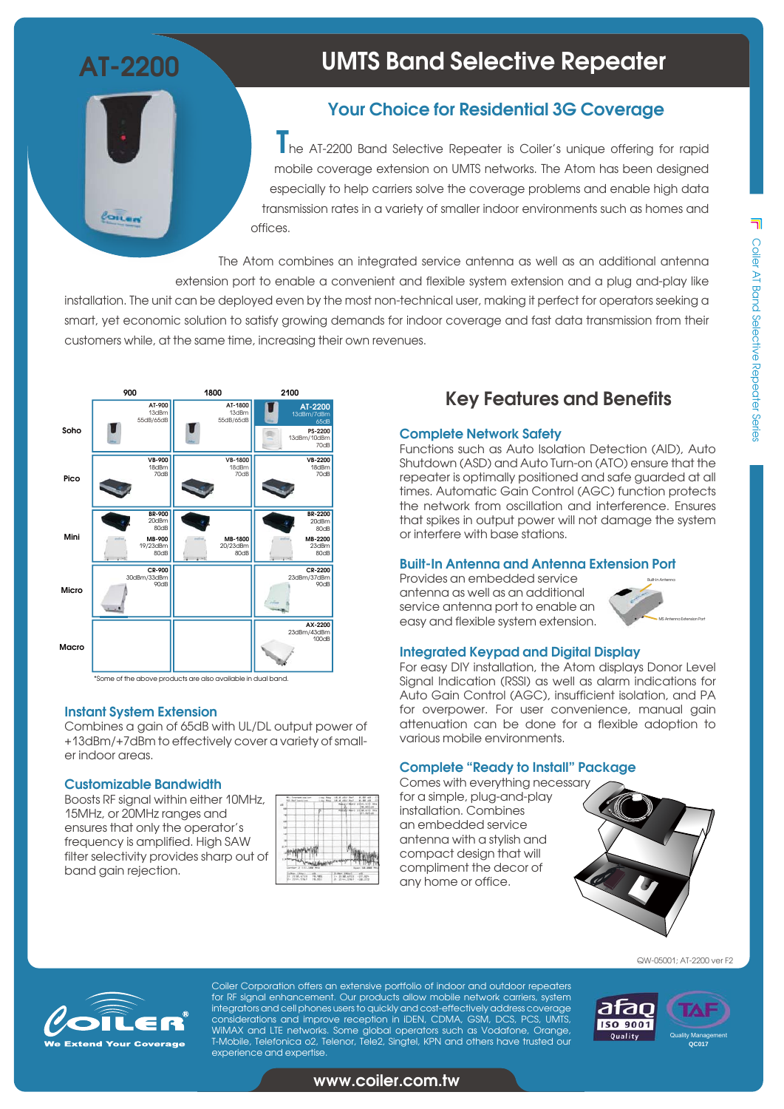**AT-2200**

 $\ell$ oilen

# **UMTS Band Selective Repeater**

## **Your Choice for Residential 3G Coverage**

**T**he AT-2200 Band Selective Repeater is Coiler's unique offering for rapid mobile coverage extension on UMTS networks. The Atom has been designed especially to help carriers solve the coverage problems and enable high data transmission rates in a variety of smaller indoor environments such as homes and offices.

The Atom combines an integrated service antenna as well as an additional antenna extension port to enable a convenient and flexible system extension and a plug and-play like

installation. The unit can be deployed even by the most non-technical user, making it perfect for operators seeking a smart, yet economic solution to satisfy growing demands for indoor coverage and fast data transmission from their customers while, at the same time, increasing their own revenues.



\*Some of the above products are also available in dual band.

#### **Instant System Extension**

Combines a gain of 65dB with UL/DL output power of +13dBm/+7dBm to effectively cover a variety of smaller indoor areas.

#### **Customizable Bandwidth**

Boosts RF signal within either 10MHz, 15MHz, or 20MHz ranges and ensures that only the operator's frequency is amplified. High SAW filter selectivity provides sharp out of band gain rejection.

|                       |                |   | <b>Report Follows</b> |         | 2988.112<br>te, etLus |
|-----------------------|----------------|---|-----------------------|---------|-----------------------|
|                       |                | ۰ | --                    | March 1 | 2538,673<br>27.829.02 |
|                       |                |   |                       |         |                       |
|                       |                | ۸ |                       |         |                       |
|                       |                |   | ٠                     |         |                       |
|                       |                |   |                       |         |                       |
|                       |                |   |                       |         |                       |
|                       |                |   |                       |         |                       |
| Genter 2 117, 188 Mig |                |   |                       |         |                       |
|                       | Littan, Length | a | 21 Marc - 1991 at 3   |         | $\overline{a}$        |

## **Key Features and Benefits**

#### **Complete Network Safety**

Functions such as Auto Isolation Detection (AID), Auto Shutdown (ASD) and Auto Turn-on (ATO) ensure that the repeater is optimally positioned and safe guarded at all times. Automatic Gain Control (AGC) function protects the network from oscillation and interference. Ensures that spikes in output power will not damage the system or interfere with base stations.

#### **Built-In Antenna and Antenna Extension Port**

Provides an embedded service antenna as well as an additional service antenna port to enable an easy and flexible system extension.



#### **Integrated Keypad and Digital Display**

For easy DIY installation, the Atom displays Donor Level Signal Indication (RSSI) as well as alarm indications for Auto Gain Control (AGC), insufficient isolation, and PA for overpower. For user convenience, manual gain attenuation can be done for a flexible adoption to various mobile environments.

#### **Complete "Ready to Install" Package**

Comes with everything necessary for a simple, plug-and-play installation. Combines an embedded service antenna with a stylish and compact design that will compliment the decor of any home or office.



QW-05001; AT-2200 ver F2



Coiler Corporation offers an extensive portfolio of indoor and outdoor repeaters for RF signal enhancement. Our products allow mobile network carriers, system integrators and cell phones users to quickly and cost-effectively address coverage considerations and improve reception in iDEN, CDMA, GSM, DCS, PCS, UMTS, WiMAX and LTE networks. Some global operators such as Vodafone, Orange, T-Mobile, Telefonica o2, Telenor, Tele2, Singtel, KPN and others have trusted our experience and expertise.